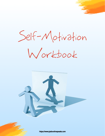Self-Motivation

Workbook



https://www.jasboothespeaks.com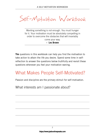Self-Motivation Workbook

Wanting something is not enough. You must hunger for it. Your motivation must be absolutely compelling in order to overcome the obstacles that will invariably come your way. **– Les Brown**

**The** questions in this workbook can help you find the motivation to take action to attain the life you desire. Spend some time in selfreflection to answer the questions below truthfully and revisit these questions whenever you feel your motivation waning.

#### What Makes People Self-Motivated?

Passion and discipline are the primary stimuli for self-motivation.

What interests am I passionate about?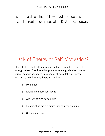Is there a discipline I follow regularly, such as an exercise routine or a special diet? Jot these down.

# Lack of Energy or Self-Motivation?

If you feel you lack self-motivation, perhaps it could be a lack of energy instead. Check whether you may be energy-deprived due to stress, depression, low self-esteem, or physical fatigue. Energyenhancing practices may help you, such as:

- ✴ Meditation
- $*$  Eating more nutritious foods
- $*$  Adding vitamins to your diet
- $*$  Incorporating more exercise into your daily routine
- ✴ Getting more sleep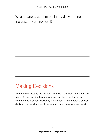What changes can I make in my daily routine to increase my energy level?

#### Making Decisions

We create our destiny the moment we make a decision, no matter how trivial. A true decision leads to achievement because it involves commitment to action. Flexibility is important. If the outcome of your decision isn't what you want, learn from it and make another decision.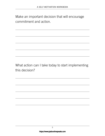Make an important decision that will encourage commitment and action.

What action can I take today to start implementing this decision?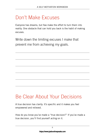## Don't Make Excuses

Everyone has dreams, but few make the effort to turn them into reality. One obstacle that can hold you back is the habit of making excuses.

Write down the limiting excuses I make that prevent me from achieving my goals.

## Be Clear About Your Decisions

A true decision has clarity. It's specific and it makes you feel empowered and relieved.

How do you know you've made a "true decision?" If you've made a true decision, you'll find yourself *acting* on it.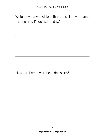Write down any decisions that are still only dreams – something I'll do "some day."

How can I empower these decisions?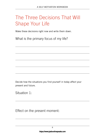## The Three Decisions That Will Shape Your Life

Make these decisions right now and write them down.

What is the primary focus of my life?

Decide how the situations you find yourself in today affect your present and future.

Situation 1:

Effect on the present moment: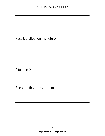Possible effect on my future:

Situation 2:

Effect on the present moment: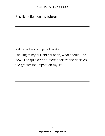Possible effect on my future:

And now for the most important decision:

Looking at my current situation, what should I do now? The quicker and more decisive the decision, the greater the impact on my life.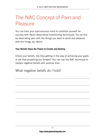#### The NAC Concept of Pain and Pleasure

You can train your subconscious mind to condition yourself for success with Neuro Associative Conditioning techniques. You do this by associating pain with the things you want to avoid and pleasure with the things you desire.

#### **Your Beliefs Have the Power to Create and Destroy**

Check your beliefs. Are they getting in the way of achieving your goals or are they propelling you forward? You can use the NAC technique to replace negative beliefs with positive ones.

What negative beliefs do I hold?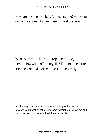How are my negative beliefs affecting me? As I write down my answer, I allow myself to feel the pain.

What positive beliefs can replace the negative ones? How will it affect my life? Feel the pleasure intensely and visualize the outcome vividly.

Another way to replace negative beliefs with positive ones is to *question* your negative beliefs. Do some research on the subject and study the lives of those who hold the opposite view.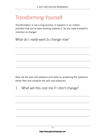## Transforming Yourself

Transformation is not a long process. It happens in an instant, provided that you've been working towards it. Do you have a powerful intention to change?

What do I *really* want to change now?

Now use the pain and pleasure principles by answering the questions below (feel and visualize the pain and pleasure):

1. What will this cost me if I don't change?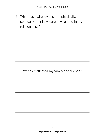2. What has it already cost me physically, spiritually, mentally, career-wise, and in my relationships?

3. How has it affected my family and friends?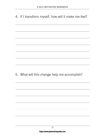4. If I transform myself, how will it make me feel?

5. What will this change help me accomplish?

15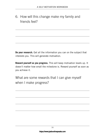6. How will this change make my family and friends feel?

**Do your research.** Get all the information you can on the subject that interests you. This will generate motivation.

**Reward yourself as you progress.** This will keep motivation levels up. It doesn't matter how small the milestone is. Reward yourself as soon as you achieve it.

What are some rewards that I can give myself when I make progress?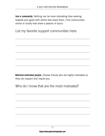**Join a community.** Nothing can be more motivating than working towards your goals with others who share them. Find communities online or locally that share a passion of yours.

List my favorite support communities here:

**Befriend motivated people.** Choose friends who are highly motivated so they can support and inspire you.

Who do I know that are the most motivated?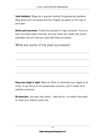**Seek feedback.** Blogs are a popular method for generating feedback. Blog about your successes and the insights you glean on the way to your goal.

**Relive past successes.** Follow the example of high achievers. Focus on your successes every morning, and your brain will create new neural pathways that will help you replicate these successes.

What are some of my past successes?

**Keep your target in sight.** Make an effort to remember your target at all times. If you focus on the pleasurable outcome, you'll create more positive outcomes.

**Be tenacious.** Use each day wisely – take action, no matter how small, to make your dreams come true.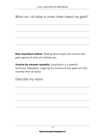What can I do today to move closer toward my goals?

**Read inspirational material.** Reading about people who achieve their goals against all odds will motivate you.

**Visualize the outcomes repeatedly.** Visualization is a powerful technique. Repeatedly imagining the outcome of your goals will help manifest them as reality.

Describe my vision: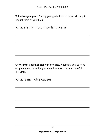**Write down your goals.** Putting your goals down on paper will help to imprint them on your brain.

What are my most important goals?

**Give yourself a spiritual goal or noble cause.** A spiritual goal such as enlightenment, or working for a worthy cause can be a powerful motivator.

What is my noble cause?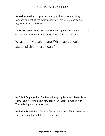**Be health conscious.** If you look after your health by exercising regularly and eating the right foods, you'll have more energy and higher levels of motivation.

**Know your "peak hours."** Find out your most productive time of the day and do your most demanding tasks during this time period.

What are my peak hours? What tasks should I accomplish in these hours?

**Don't look for perfection.** The key to being highly self-motivated is to act without worrying about how good your output is. Get on with it. The polishing can be done later.

**Do the harder task first.** Once you've put the more difficult tasks behind you, you can relax and do the easier ones.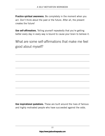**Practice spiritual awareness.** Be completely in the moment when you act. Don't think about the past or the future. After all, the present creates the future!

**Use self-affirmations.** Telling yourself repeatedly that you're getting better every day in every way is bound to cause your brain to believe it.

What are some self-affirmations that make me feel good about myself?

**Use inspirational quotations.** These are built around the lives of famous and highly motivated people who have succeeded against the odds.